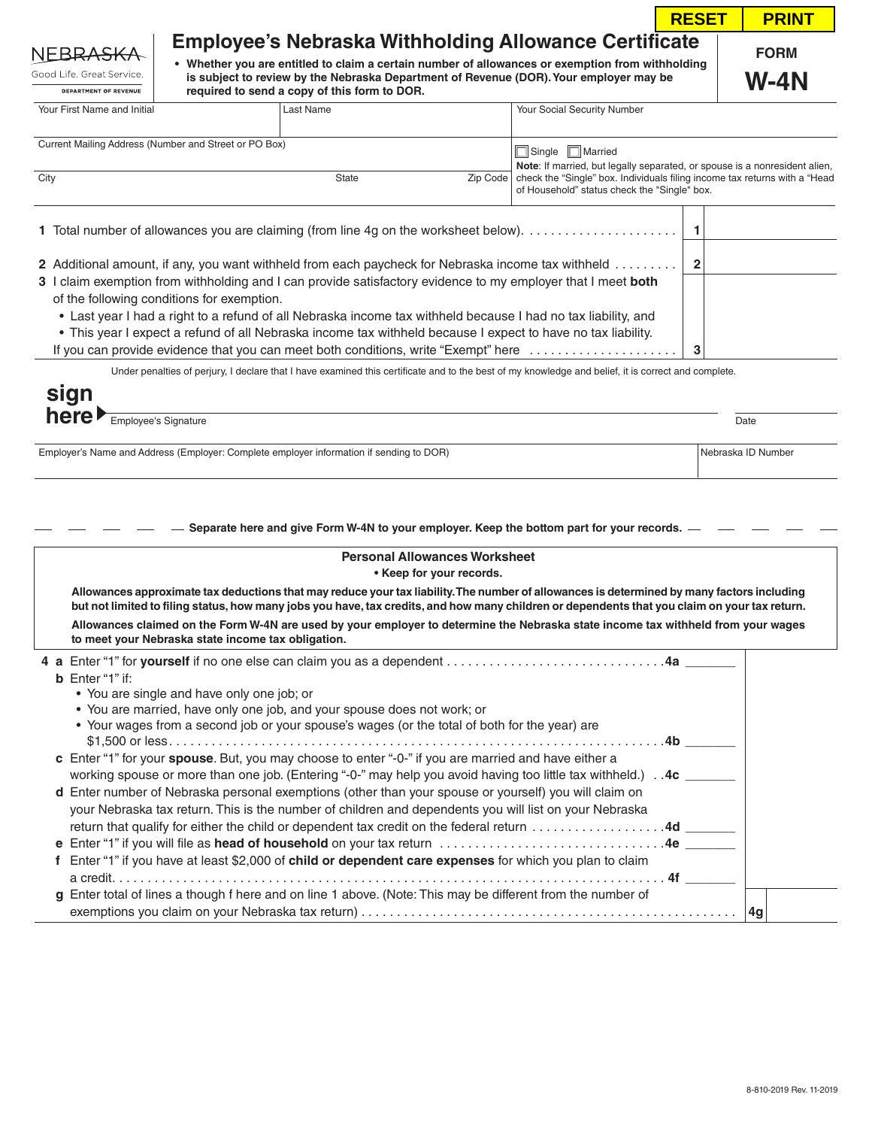|                                                                                                                                                         |                                            |                                              |  |                                                                                                                                                                                                                                                            | <b>RESET</b>   | <b>PRINT</b>        |  |
|---------------------------------------------------------------------------------------------------------------------------------------------------------|--------------------------------------------|----------------------------------------------|--|------------------------------------------------------------------------------------------------------------------------------------------------------------------------------------------------------------------------------------------------------------|----------------|---------------------|--|
| NEBRA <del>SK</del> A<br>Good Life, Great Service.<br><b>DEPARTMENT OF REVENUE</b>                                                                      |                                            | required to send a copy of this form to DOR. |  | <b>Employee's Nebraska Withholding Allowance Certificate</b><br>• Whether you are entitled to claim a certain number of allowances or exemption from withholding<br>is subject to review by the Nebraska Department of Revenue (DOR). Your employer may be |                | <b>FORM</b><br>W-4N |  |
| Your First Name and Initial                                                                                                                             |                                            | Last Name                                    |  | Your Social Security Number                                                                                                                                                                                                                                |                |                     |  |
| Current Mailing Address (Number and Street or PO Box)<br>Single   Married<br>Note: If married, but legally separated, or spouse is a nonresident alien, |                                            |                                              |  |                                                                                                                                                                                                                                                            |                |                     |  |
| City                                                                                                                                                    |                                            | State                                        |  | Zip Code   check the "Single" box. Individuals filing income tax returns with a "Head"<br>of Household" status check the "Single" box.                                                                                                                     |                |                     |  |
|                                                                                                                                                         |                                            |                                              |  |                                                                                                                                                                                                                                                            |                |                     |  |
| 2 Additional amount, if any, you want withheld from each paycheck for Nebraska income tax withheld                                                      |                                            |                                              |  |                                                                                                                                                                                                                                                            | $\overline{2}$ |                     |  |
|                                                                                                                                                         | of the following conditions for exemption. |                                              |  | 3 I claim exemption from withholding and I can provide satisfactory evidence to my employer that I meet both                                                                                                                                               |                |                     |  |
|                                                                                                                                                         |                                            |                                              |  | • Last year I had a right to a refund of all Nebraska income tax withheld because I had no tax liability, and                                                                                                                                              |                |                     |  |
|                                                                                                                                                         |                                            |                                              |  | • This year I expect a refund of all Nebraska income tax withheld because I expect to have no tax liability.<br>If you can provide evidence that you can meet both conditions, write "Exempt" here $\ldots \ldots \ldots \ldots \ldots$                    | 3              |                     |  |
|                                                                                                                                                         |                                            |                                              |  | Under penalties of perjury, I declare that I have examined this certificate and to the best of my knowledge and belief, it is correct and complete.                                                                                                        |                |                     |  |
|                                                                                                                                                         |                                            |                                              |  |                                                                                                                                                                                                                                                            |                |                     |  |

| here | Employee's<br>Signature<br>$\sim$ 100 $\sim$ | Date |
|------|----------------------------------------------|------|

 $\overline{\phantom{a}}$ 

Employer's Name and Address (Employer: Complete employer information if sending to DOR) Nebraska ID Number Nebraska ID Number

- Separate here and give Form W-4N to your employer. Keep the bottom part for your records. - -

| <b>Personal Allowances Worksheet</b><br>• Keep for your records.                                                                                                                                                                                                                                                    |  |
|---------------------------------------------------------------------------------------------------------------------------------------------------------------------------------------------------------------------------------------------------------------------------------------------------------------------|--|
| Allowances approximate tax deductions that may reduce your tax liability. The number of allowances is determined by many factors including<br>but not limited to filing status, how many jobs you have, tax credits, and how many children or dependents that you claim on your tax return.                         |  |
| Allowances claimed on the Form W-4N are used by your employer to determine the Nebraska state income tax withheld from your wages<br>to meet your Nebraska state income tax obligation.                                                                                                                             |  |
| <b>b</b> Enter "1" if:<br>• You are single and have only one job; or                                                                                                                                                                                                                                                |  |
| • You are married, have only one job, and your spouse does not work; or<br>• Your wages from a second job or your spouse's wages (or the total of both for the year) are                                                                                                                                            |  |
| c Enter "1" for your spouse. But, you may choose to enter "-0-" if you are married and have either a<br>working spouse or more than one job. (Entering "-0-" may help you avoid having too little tax withheld.). $4c$                                                                                              |  |
| d Enter number of Nebraska personal exemptions (other than your spouse or yourself) you will claim on<br>your Nebraska tax return. This is the number of children and dependents you will list on your Nebraska<br>return that qualify for either the child or dependent tax credit on the federal return 4d ______ |  |
|                                                                                                                                                                                                                                                                                                                     |  |
| Enter "1" if you have at least \$2,000 of child or dependent care expenses for which you plan to claim                                                                                                                                                                                                              |  |
| g Enter total of lines a though f here and on line 1 above. (Note: This may be different from the number of<br>14q                                                                                                                                                                                                  |  |

 $\overline{\phantom{a}}$